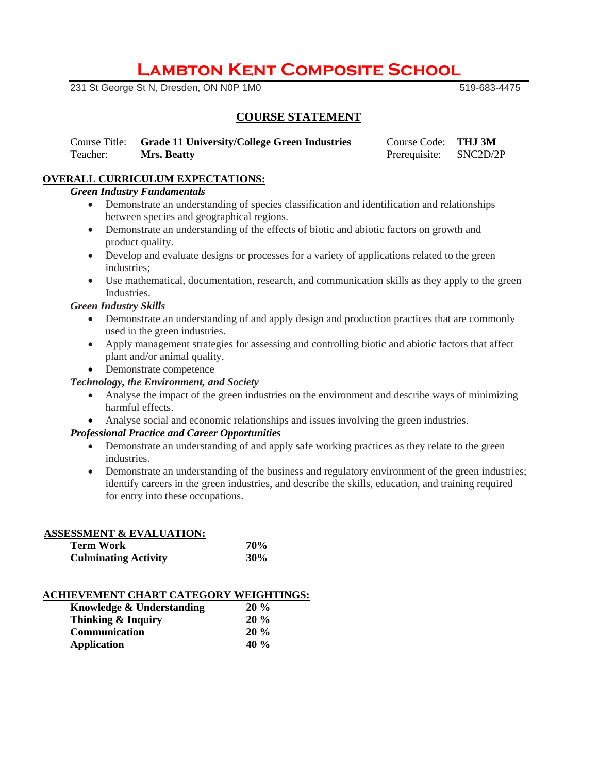# **Lambton Kent Composite School**

231 St George St N, Dresden, ON N0P 1M0 519-683-4475

# **COURSE STATEMENT**

Course Title: **Grade 11 University/College Green Industries** Course Code: **THJ 3M** Teacher: **Mrs. Beatty Prerequisite:** SNC2D/2P

# **OVERALL CURRICULUM EXPECTATIONS:**

## *Green Industry Fundamentals*

- Demonstrate an understanding of species classification and identification and relationships between species and geographical regions.
- Demonstrate an understanding of the effects of biotic and abiotic factors on growth and product quality.
- Develop and evaluate designs or processes for a variety of applications related to the green industries;
- Use mathematical, documentation, research, and communication skills as they apply to the green Industries.

#### *Green Industry Skills*

- Demonstrate an understanding of and apply design and production practices that are commonly used in the green industries.
- Apply management strategies for assessing and controlling biotic and abiotic factors that affect plant and/or animal quality.
- Demonstrate competence

#### *Technology, the Environment, and Society*

- Analyse the impact of the green industries on the environment and describe ways of minimizing harmful effects.
- Analyse social and economic relationships and issues involving the green industries.

#### *Professional Practice and Career Opportunities*

- Demonstrate an understanding of and apply safe working practices as they relate to the green industries.
- Demonstrate an understanding of the business and regulatory environment of the green industries; identify careers in the green industries, and describe the skills, education, and training required for entry into these occupations.

#### **ASSESSMENT & EVALUATION:**

| Term Work                   | 70% |
|-----------------------------|-----|
| <b>Culminating Activity</b> | 30% |

### **ACHIEVEMENT CHART CATEGORY WEIGHTINGS:**

| Knowledge & Understanding | $20\%$  |
|---------------------------|---------|
| Thinking & Inquiry        | $20\%$  |
| <b>Communication</b>      | $20\%$  |
| <b>Application</b>        | 40 $\%$ |